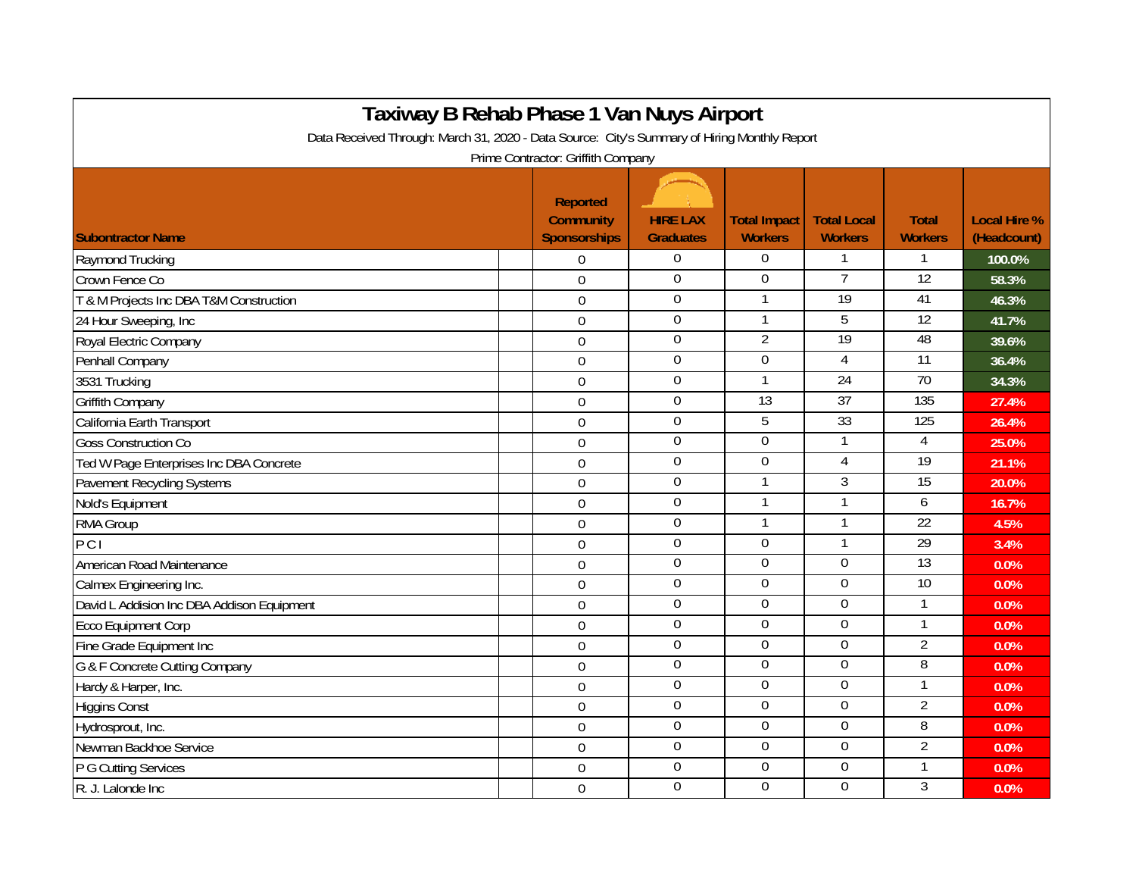| Taxiway B Rehab Phase 1 Van Nuys Airport<br>Data Received Through: March 31, 2020 - Data Source: City's Summary of Hiring Monthly Report |                                                     |                                     |                                       |                                      |                                |                                    |  |  |  |  |  |
|------------------------------------------------------------------------------------------------------------------------------------------|-----------------------------------------------------|-------------------------------------|---------------------------------------|--------------------------------------|--------------------------------|------------------------------------|--|--|--|--|--|
|                                                                                                                                          |                                                     |                                     |                                       |                                      |                                |                                    |  |  |  |  |  |
| <b>Subontractor Name</b>                                                                                                                 | Reported<br><b>Community</b><br><b>Sponsorships</b> | <b>HIRE LAX</b><br><b>Graduates</b> | <b>Total Impact</b><br><b>Workers</b> | <b>Total Local</b><br><b>Workers</b> | <b>Total</b><br><b>Workers</b> | <b>Local Hire %</b><br>(Headcount) |  |  |  |  |  |
|                                                                                                                                          |                                                     | $\mathbf{0}$                        | $\Omega$                              | $\mathbf{1}$                         | 1                              |                                    |  |  |  |  |  |
| Raymond Trucking                                                                                                                         | $\Omega$                                            | $\mathbf 0$                         | $\Omega$                              | $\overline{7}$                       | $\overline{12}$                | 100.0%                             |  |  |  |  |  |
| Crown Fence Co                                                                                                                           | $\mathbf 0$                                         | $\boldsymbol{0}$                    | 1                                     | $\overline{19}$                      | 41                             | 58.3%                              |  |  |  |  |  |
| T & M Projects Inc DBA T&M Construction                                                                                                  | $\mathbf 0$                                         | $\pmb{0}$                           |                                       | 5                                    | $\overline{12}$                | 46.3%                              |  |  |  |  |  |
| 24 Hour Sweeping, Inc                                                                                                                    | $\mathbf 0$                                         |                                     |                                       | $\overline{19}$                      | 48                             | 41.7%                              |  |  |  |  |  |
| Royal Electric Company                                                                                                                   | $\mathbf 0$                                         | $\boldsymbol{0}$                    | $\overline{2}$                        |                                      |                                | 39.6%                              |  |  |  |  |  |
| Penhall Company                                                                                                                          | $\mathbf 0$                                         | $\boldsymbol{0}$                    | $\overline{0}$                        | 4                                    | $\overline{11}$                | 36.4%                              |  |  |  |  |  |
| 3531 Trucking                                                                                                                            | $\mathbf 0$                                         | $\boldsymbol{0}$                    |                                       | $\overline{24}$                      | $\overline{70}$                | 34.3%                              |  |  |  |  |  |
| <b>Griffith Company</b>                                                                                                                  | $\mathbf 0$                                         | $\overline{0}$                      | 13                                    | 37                                   | 135                            | 27.4%                              |  |  |  |  |  |
| California Earth Transport                                                                                                               | $\mathbf 0$                                         | $\boldsymbol{0}$                    | 5                                     | 33                                   | 125                            | 26.4%                              |  |  |  |  |  |
| <b>Goss Construction Co</b>                                                                                                              | $\mathbf 0$                                         | $\mathbf 0$                         | $\mathbf 0$                           | $\mathbf{1}$                         | 4                              | 25.0%                              |  |  |  |  |  |
| Ted W Page Enterprises Inc DBA Concrete                                                                                                  | $\overline{0}$                                      | $\mathbf 0$                         | $\overline{0}$                        | 4                                    | 19                             | 21.1%                              |  |  |  |  |  |
| Pavement Recycling Systems                                                                                                               | $\Omega$                                            | $\overline{0}$                      |                                       | 3                                    | 15                             | 20.0%                              |  |  |  |  |  |
| Nold's Equipment                                                                                                                         | $\overline{0}$                                      | $\boldsymbol{0}$                    |                                       | 1                                    | 6                              | 16.7%                              |  |  |  |  |  |
| RMA Group                                                                                                                                | $\overline{0}$                                      | $\mathbf 0$                         |                                       | 1                                    | 22                             | 4.5%                               |  |  |  |  |  |
| $\overline{PC}$                                                                                                                          | $\Omega$                                            | $\mathbf{0}$                        | $\Omega$                              | 1                                    | $\overline{29}$                | 3.4%                               |  |  |  |  |  |
| American Road Maintenance                                                                                                                | $\mathbf 0$                                         | $\boldsymbol{0}$                    | $\boldsymbol{0}$                      | 0                                    | 13                             | 0.0%                               |  |  |  |  |  |
| Calmex Engineering Inc.                                                                                                                  | $\mathbf 0$                                         | $\mathbf{0}$                        | $\overline{0}$                        | 0                                    | 10                             | 0.0%                               |  |  |  |  |  |
| David L Addision Inc DBA Addison Equipment                                                                                               | $\mathbf 0$                                         | $\Omega$                            | $\overline{0}$                        | 0                                    | 1                              | 0.0%                               |  |  |  |  |  |
| <b>Ecco Equipment Corp</b>                                                                                                               | $\mathbf 0$                                         | $\boldsymbol{0}$                    | $\boldsymbol{0}$                      | $\Omega$                             | 1                              | 0.0%                               |  |  |  |  |  |
| Fine Grade Equipment Inc                                                                                                                 | $\mathbf 0$                                         | $\overline{0}$                      | $\overline{0}$                        | $\overline{0}$                       | $\overline{2}$                 | 0.0%                               |  |  |  |  |  |
| G & F Concrete Cutting Company                                                                                                           | $\overline{0}$                                      | $\boldsymbol{0}$                    | $\boldsymbol{0}$                      | $\mathbf 0$                          | 8                              | 0.0%                               |  |  |  |  |  |
| Hardy & Harper, Inc.                                                                                                                     | $\mathbf 0$                                         | $\boldsymbol{0}$                    | $\mathbf 0$                           | $\mathbf 0$                          | 1                              | 0.0%                               |  |  |  |  |  |
| <b>Higgins Const</b>                                                                                                                     | $\overline{0}$                                      | $\overline{0}$                      | $\mathbf 0$                           | 0                                    | $\overline{2}$                 | 0.0%                               |  |  |  |  |  |
| Hydrosprout, Inc.                                                                                                                        | $\overline{0}$                                      | $\overline{0}$                      | $\Omega$                              | $\overline{0}$                       | 8                              | 0.0%                               |  |  |  |  |  |
| Newman Backhoe Service                                                                                                                   | $\mathbf 0$                                         | $\overline{0}$                      | $\boldsymbol{0}$                      | $\overline{0}$                       | $\overline{2}$                 | 0.0%                               |  |  |  |  |  |
| P G Cutting Services                                                                                                                     | $\overline{0}$                                      | $\boldsymbol{0}$                    | $\mathbf 0$                           | 0                                    | 1                              | 0.0%                               |  |  |  |  |  |
| R. J. Lalonde Inc                                                                                                                        | $\Omega$                                            | $\mathbf 0$                         | $\Omega$                              | $\overline{0}$                       | 3                              | 0.0%                               |  |  |  |  |  |